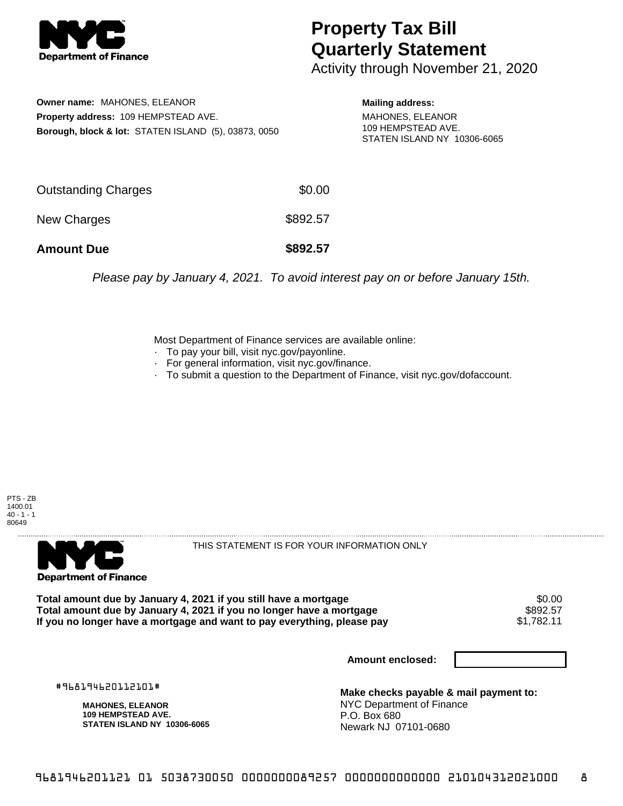

## **Property Tax Bill Quarterly Statement**

Activity through November 21, 2020

**Owner name:** MAHONES, ELEANOR **Property address:** 109 HEMPSTEAD AVE. **Borough, block & lot:** STATEN ISLAND (5), 03873, 0050 **Mailing address:**

MAHONES, ELEANOR 109 HEMPSTEAD AVE. STATEN ISLAND NY 10306-6065

| <b>Amount Due</b>   | \$892.57 |
|---------------------|----------|
| New Charges         | \$892.57 |
| Outstanding Charges | \$0.00   |

Please pay by January 4, 2021. To avoid interest pay on or before January 15th.

Most Department of Finance services are available online:

- · To pay your bill, visit nyc.gov/payonline.
- For general information, visit nyc.gov/finance.
- · To submit a question to the Department of Finance, visit nyc.gov/dofaccount.

PTS - ZB 1400.01  $40 - 1 - 1$ 80649



THIS STATEMENT IS FOR YOUR INFORMATION ONLY

Total amount due by January 4, 2021 if you still have a mortgage \$0.00<br>Total amount due by January 4, 2021 if you no longer have a mortgage \$892.57 **Total amount due by January 4, 2021 if you no longer have a mortgage \$892.57<br>If you no longer have a mortgage and want to pay everything, please pay \$1,782.11** If you no longer have a mortgage and want to pay everything, please pay

**Amount enclosed:**

#968194620112101#

**MAHONES, ELEANOR 109 HEMPSTEAD AVE. STATEN ISLAND NY 10306-6065**

**Make checks payable & mail payment to:** NYC Department of Finance P.O. Box 680 Newark NJ 07101-0680